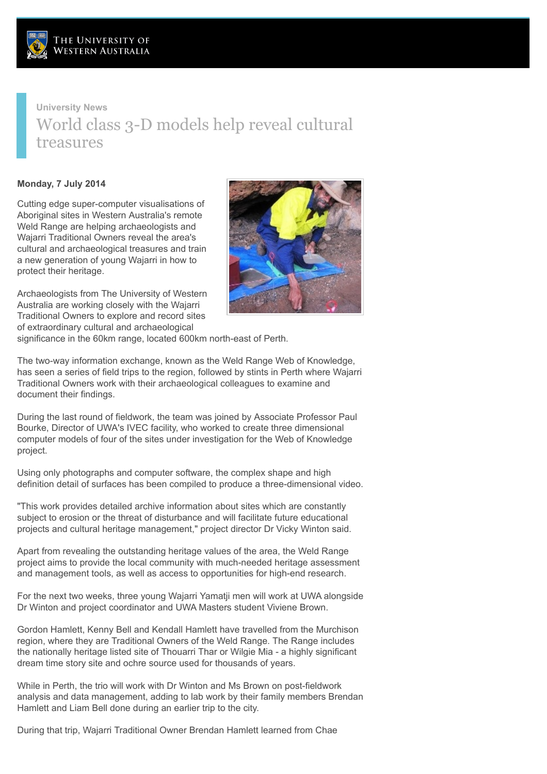

## **University News** World class 3-D models help reveal cultural treasures

## **Monday, 7 July 2014**

Cutting edge super-computer visualisations of Aboriginal sites in Western Australia's remote Weld Range are helping archaeologists and Wajarri Traditional Owners reveal the area's cultural and archaeological treasures and train a new generation of young Wajarri in how to protect their heritage.

Archaeologists from The University of Western Australia are working closely with the Wajarri Traditional Owners to explore and record sites of extraordinary cultural and archaeological



significance in the 60km range, located 600km north-east of Perth.

The two-way information exchange, known as the Weld Range Web of Knowledge, has seen a series of field trips to the region, followed by stints in Perth where Wajarri Traditional Owners work with their archaeological colleagues to examine and document their findings.

During the last round of fieldwork, the team was joined by Associate Professor Paul Bourke, Director of UWA's IVEC facility, who worked to create three dimensional computer models of four of the sites under investigation for the Web of Knowledge project.

Using only photographs and computer software, the complex shape and high definition detail of surfaces has been compiled to produce a three-dimensional video.

"This work provides detailed archive information about sites which are constantly subject to erosion or the threat of disturbance and will facilitate future educational projects and cultural heritage management," project director Dr Vicky Winton said.

Apart from revealing the outstanding heritage values of the area, the Weld Range project aims to provide the local community with much-needed heritage assessment and management tools, as well as access to opportunities for high-end research.

For the next two weeks, three young Wajarri Yamatji men will work at UWA alongside Dr Winton and project coordinator and UWA Masters student Viviene Brown.

Gordon Hamlett, Kenny Bell and Kendall Hamlett have travelled from the Murchison region, where they are Traditional Owners of the Weld Range. The Range includes the nationally heritage listed site of Thouarri Thar or Wilgie Mia - a highly significant dream time story site and ochre source used for thousands of years.

While in Perth, the trio will work with Dr Winton and Ms Brown on post-fieldwork analysis and data management, adding to lab work by their family members Brendan Hamlett and Liam Bell done during an earlier trip to the city.

During that trip, Wajarri Traditional Owner Brendan Hamlett learned from Chae